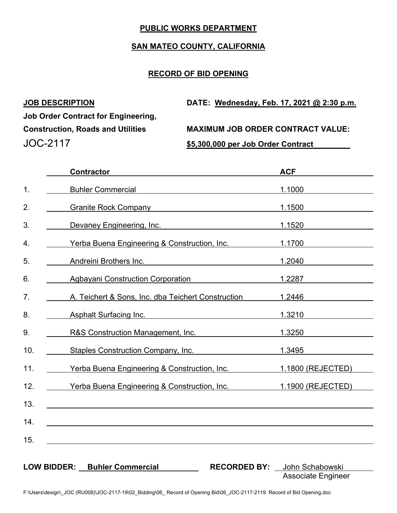## **PUBLIC WORKS DEPARTMENT**

## **SAN MATEO COUNTY, CALIFORNIA**

# **RECORD OF BID OPENING**

| <b>JOB DESCRIPTION</b>                     | DATE: Wednesday, Feb. 17, 2021 @ 2:30 p.m. |
|--------------------------------------------|--------------------------------------------|
| <b>Job Order Contract for Engineering,</b> |                                            |
| <b>Construction, Roads and Utilities</b>   | <b>MAXIMUM JOB ORDER CONTRACT VALUE:</b>   |
| JOC-2117                                   | \$5,300,000 per Job Order Contract         |

|               | <b>Contractor</b>                                                                                                                               | <b>ACF</b>                                   |
|---------------|-------------------------------------------------------------------------------------------------------------------------------------------------|----------------------------------------------|
| $\mathbf 1$ . | Buhler Commercial and the commercial and the commercial and the commercial and the commercial and the commercial                                | 1.1000                                       |
| 2.            | Granite Rock Company Canadian Company                                                                                                           | 1.1500                                       |
| 3.            | Devaney Engineering, Inc.                                                                                                                       | 1.1520                                       |
| 4.            | Yerba Buena Engineering & Construction, Inc.                                                                                                    | 1.1700                                       |
| 5.            | Andreini Brothers Inc.<br><u> 1980 - Jan James James Barbara, martin da kasar Amerikaan kasar dalam peristiwa dalam peristiwa dalam peristi</u> | 1.2040                                       |
| 6.            | Agbayani Construction Corporation                                                                                                               | 1.2287                                       |
| 7.            | A. Teichert & Sons, Inc. dba Teichert Construction                                                                                              | 1.2446                                       |
| 8.            | Asphalt Surfacing Inc.                                                                                                                          | 1.3210                                       |
| 9.            | R&S Construction Management, Inc.                                                                                                               | 1.3250                                       |
| 10.           | Staples Construction Company, Inc.                                                                                                              | 1.3495                                       |
| 11.           | Yerba Buena Engineering & Construction, Inc.                                                                                                    | 1.1800 (REJECTED)                            |
| 12.           | Yerba Buena Engineering & Construction, Inc.                                                                                                    | 1.1900 (REJECTED)                            |
| 13.           |                                                                                                                                                 |                                              |
| 14.           |                                                                                                                                                 |                                              |
| 15.           |                                                                                                                                                 |                                              |
|               |                                                                                                                                                 |                                              |
|               | <b>LOW BIDDER: Buhler Commercial</b><br><b>RECORDED BY:</b>                                                                                     | John Schabowski<br><b>Associate Engineer</b> |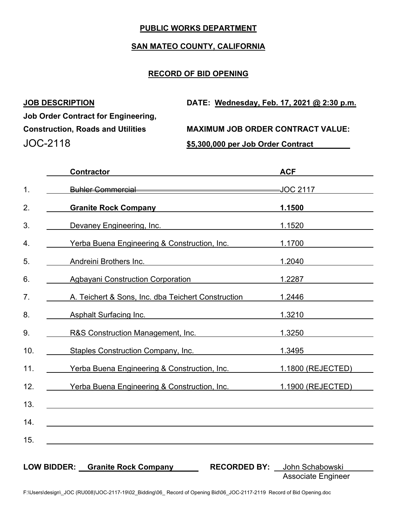## **PUBLIC WORKS DEPARTMENT**

#### **SAN MATEO COUNTY, CALIFORNIA**

## **RECORD OF BID OPENING**

| <b>JOB DESCRIPTION</b>                     | DATE: Wednesday, Feb. 17, 2021 @ 2:30 p.m. |
|--------------------------------------------|--------------------------------------------|
| <b>Job Order Contract for Engineering,</b> |                                            |
| <b>Construction, Roads and Utilities</b>   | <b>MAXIMUM JOB ORDER CONTRACT VALUE:</b>   |
| JOC-2118                                   | \$5,300,000 per Job Order Contract         |

| <b>Contractor</b>                                                                                                                                                                                                                   | <b>ACF</b>                             |
|-------------------------------------------------------------------------------------------------------------------------------------------------------------------------------------------------------------------------------------|----------------------------------------|
| Buhler Commercial <b>Executive Commercial</b>                                                                                                                                                                                       | JOC 2117                               |
| <b>Granite Rock Company Care and Company Company</b>                                                                                                                                                                                | 1.1500                                 |
| Devaney Engineering, Inc. <b>Example 20</b> Service 20 Service 20 Service 20 Service 20 Service 20 Service 20 Service 20 Service 20 Service 20 Service 20 Service 20 Service 20 Service 20 Service 20 Service 20 Service 20 Service | 1.1520                                 |
| Yerba Buena Engineering & Construction, Inc.                                                                                                                                                                                        | 1.1700                                 |
| Andreini Brothers Inc. <b>Example 20</b> No. 1996                                                                                                                                                                                   | 1.2040                                 |
| <b>Agbayani Construction Corporation</b>                                                                                                                                                                                            | 1.2287                                 |
| A. Teichert & Sons, Inc. dba Teichert Construction                                                                                                                                                                                  | 1.2446                                 |
| Asphalt Surfacing Inc.                                                                                                                                                                                                              | 1.3210                                 |
| R&S Construction Management, Inc.                                                                                                                                                                                                   | 1.3250                                 |
| Staples Construction Company, Inc.                                                                                                                                                                                                  | 1.3495                                 |
| Yerba Buena Engineering & Construction, Inc.                                                                                                                                                                                        | 1.1800 (REJECTED)                      |
| Yerba Buena Engineering & Construction, Inc.                                                                                                                                                                                        | 1.1900 (REJECTED)                      |
|                                                                                                                                                                                                                                     |                                        |
|                                                                                                                                                                                                                                     |                                        |
|                                                                                                                                                                                                                                     |                                        |
|                                                                                                                                                                                                                                     |                                        |
| LOW BIDDER: Granite Rock Company                                                                                                                                                                                                    | <b>RECORDED BY:</b><br>John Schabowski |
|                                                                                                                                                                                                                                     | <b>Associate Engineer</b>              |